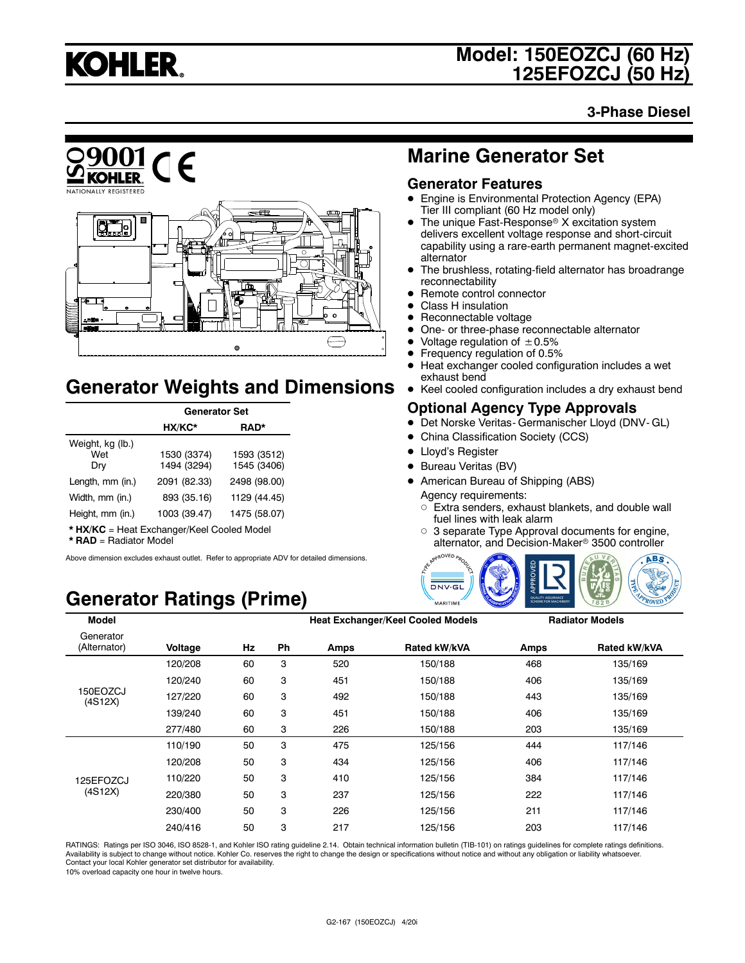

**3-Phase Diesel**



## **Generator Weights and Dimensions**

|                                | <b>Generator Set</b>       |                            |  |
|--------------------------------|----------------------------|----------------------------|--|
|                                | HX/KC*                     | RAD*                       |  |
| Weight, kg (lb.)<br>Wet<br>Dry | 1530 (3374)<br>1494 (3294) | 1593 (3512)<br>1545 (3406) |  |
| Length, mm (in.)               | 2091 (82.33)               | 2498 (98.00)               |  |
| Width, mm (in.)                | 893 (35.16)                | 1129 (44.45)               |  |
| Height, mm (in.)               | 1003 (39.47)               | 1475 (58.07)               |  |

**\* HX/KC** = Heat Exchanger/Keel Cooled Model

**\* RAD** = Radiator Model

Above dimension excludes exhaust outlet. Refer to appropriate ADV for detailed dimensions.

## **Generator Ratings (Prime)**

## **Marine Generator Set**

#### **Generator Features**

- Engine is Environmental Protection Agency (EPA) Tier III compliant (60 Hz model only)
- The unique Fast-Response<sup>®</sup> X excitation system delivers excellent voltage response and short-circuit capability using a rare-earth permanent magnet-excited alternator
- The brushless, rotating-field alternator has broadrange reconnectability
- Remote control connector
- $\bullet$  Class H insulation
- $\bullet$  Reconnectable voltage
- One- or three-phase reconnectable alternator<br>• Voltage requisition of  $+0.5\%$
- Voltage regulation of  $\pm 0.5\%$ <br>• Frequency requlation of 0.5%
- Frequency regulation of 0.5%
- $\bullet$  Heat exchanger cooled configuration includes a wet exhaust bend
- Keel cooled configuration includes a dry exhaust bend

#### **Optional Agency Type Approvals**

- $\bullet$  Det Norske Veritas- Germanischer Lloyd (DNV- GL)
- China Classification Society (CCS)
- Lloyd's Register
- Bureau Veritas (BV)
- American Bureau of Shipping (ABS) Agency requirements:
	- $\circ$  Extra senders, exhaust blankets, and double wall fuel lines with leak alarm
	- $\circ$  3 separate Type Approval documents for engine, alternator, and Decision-Maker<sup>®</sup> 3500 controller



| <b>Model</b>              |         |    |    |             | <b>Heat Exchanger/Keel Cooled Models</b> |      | <b>Radiator Models</b> |
|---------------------------|---------|----|----|-------------|------------------------------------------|------|------------------------|
| Generator<br>(Alternator) | Voltage | Hz | Ph | <b>Amps</b> | Rated kW/kVA                             | Amps | Rated kW/kVA           |
|                           | 120/208 | 60 | 3  | 520         | 150/188                                  | 468  | 135/169                |
|                           | 120/240 | 60 | 3  | 451         | 150/188                                  | 406  | 135/169                |
| 150EOZCJ<br>(4S12X)       | 127/220 | 60 | 3  | 492         | 150/188                                  | 443  | 135/169                |
|                           | 139/240 | 60 | 3  | 451         | 150/188                                  | 406  | 135/169                |
|                           | 277/480 | 60 | 3  | 226         | 150/188                                  | 203  | 135/169                |
|                           | 110/190 | 50 | 3  | 475         | 125/156                                  | 444  | 117/146                |
|                           | 120/208 | 50 | 3  | 434         | 125/156                                  | 406  | 117/146                |
| 125EFOZCJ                 | 110/220 | 50 | 3  | 410         | 125/156                                  | 384  | 117/146                |
| (4S12X)                   | 220/380 | 50 | 3  | 237         | 125/156                                  | 222  | 117/146                |
|                           | 230/400 | 50 | 3  | 226         | 125/156                                  | 211  | 117/146                |
|                           | 240/416 | 50 | 3  | 217         | 125/156                                  | 203  | 117/146                |

RATINGS: Ratings per ISO 3046, ISO 8528-1, and Kohler ISO rating guideline 2.14. Obtain technical information bulletin (TIB-101) on ratings guidelines for complete ratings definitions. Availability is subject to change without notice. Kohler Co. reserves the right to change the design or specifications without notice and without any obligation or liability whatsoever.<br>Contact your local Kohler generator

10% overload capacity one hour in twelve hours.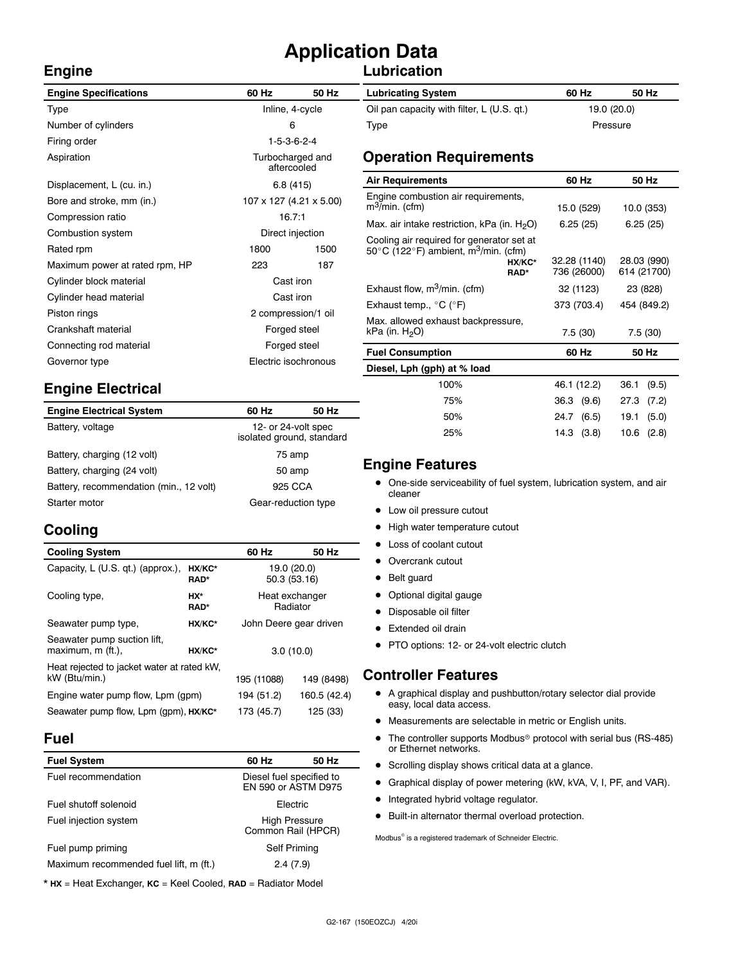## **Application Data**

#### **Lubrication**

| <b>Engine Specifications</b>   | 60 Hz                           | 50 Hz            | <b>Lubricating System</b>                                         |  |
|--------------------------------|---------------------------------|------------------|-------------------------------------------------------------------|--|
| Type                           | Inline, 4-cycle                 |                  | Oil pan capacity with filter, L (U.S. qt.)                        |  |
| Number of cylinders            | 6                               |                  | Type                                                              |  |
| Firing order                   |                                 | $1-5-3-6-2-4$    |                                                                   |  |
| Aspiration                     | Turbocharged and<br>aftercooled |                  | <b>Operation Requirements</b>                                     |  |
| Displacement, L (cu. in.)      |                                 | 6.8(415)         | <b>Air Requirements</b>                                           |  |
| Bore and stroke, mm (in.)      | 107 x 127 (4.21 x 5.00)         |                  | Engine combustion air requirements,<br>m <sup>3</sup> /min. (cfm) |  |
| Compression ratio              | 16.7:1                          |                  | Max. air intake restriction, kPa (in. $H_2O$ )                    |  |
| Combustion system              |                                 | Direct injection | Cooling air required for generator set at                         |  |
| Rated rpm                      | 1800                            | 1500             | 50°C (122°F) ambient, m <sup>3</sup> /min. (cfm)                  |  |
| Maximum power at rated rpm, HP | 223                             | 187              | HX/KC*<br>RAD*                                                    |  |
| Cylinder block material        | Cast iron                       |                  |                                                                   |  |
| Cylinder head material         | Cast iron                       |                  | Exhaust flow, $m^3/m$ in. (cfm)                                   |  |
| Piston rings                   | 2 compression/1 oil             |                  | Exhaust temp., $^{\circ}$ C ( $^{\circ}$ F)                       |  |
| Crankshaft material            | Forged steel                    |                  | Max. allowed exhaust backpressure,<br>kPa (in. $H2O$ )            |  |
| Connecting rod material        | Forged steel                    |                  |                                                                   |  |
| Governor type                  | Electric isochronous            |                  | <b>Fuel Consumption</b>                                           |  |
|                                |                                 |                  | Diesel, Lph (gph) at % load                                       |  |

### **Engine Electrical**

| <b>Engine Electrical System</b>         | 60 Hz                                            | 50 Hz |
|-----------------------------------------|--------------------------------------------------|-------|
| Battery, voltage                        | 12- or 24-volt spec<br>isolated ground, standard |       |
| Battery, charging (12 volt)             | 75 amp                                           |       |
| Battery, charging (24 volt)             | 50 amp                                           |       |
| Battery, recommendation (min., 12 volt) | 925 CCA                                          |       |
| Starter motor                           | Gear-reduction type                              |       |

### **Cooling**

**Engine**

| <b>Cooling System</b>                                       |                       | 60 Hz                       | 50 Hz      |
|-------------------------------------------------------------|-----------------------|-----------------------------|------------|
| Capacity, L (U.S. qt.) (approx.),                           | HX/KC*<br><b>RAD*</b> | 19.0 (20.0)<br>50.3 (53.16) |            |
| Cooling type,                                               | HX*<br>RAD*           | Heat exchanger              | Radiator   |
| Seawater pump type,                                         | HX/KC*                | John Deere gear driven      |            |
| Seawater pump suction lift,<br>maximum, m (ft.).            | HX/KC*                | 3.0(10.0)                   |            |
| Heat rejected to jacket water at rated kW.<br>kW (Btu/min.) |                       | 195 (11088)                 | 149 (8498) |
| Engine water pump flow, Lpm (gpm)                           | 194 (51.2)            | 160.5 (42.4)                |            |
| Seawater pump flow, Lpm (gpm), HX/KC*                       |                       | 173 (45.7)                  | 125 (33)   |

#### **Fuel**

| <b>Fuel System</b>                     | 60 Hz                                           | 50 Hz |
|----------------------------------------|-------------------------------------------------|-------|
| Fuel recommendation                    | Diesel fuel specified to<br>EN 590 or ASTM D975 |       |
| Fuel shutoff solenoid                  | Electric                                        |       |
| Fuel injection system                  | <b>High Pressure</b><br>Common Rail (HPCR)      |       |
| Fuel pump priming                      | Self Priming                                    |       |
| Maximum recommended fuel lift, m (ft.) | 2.4(7.9)                                        |       |

\* **HX** = Heat Exchanger, **KC** = Keel Cooled, **RAD** = Radiator Model

| <b>Lubricating System</b>                  | 60 Hz       | 50 Hz    |
|--------------------------------------------|-------------|----------|
| Oil pan capacity with filter, L (U.S. qt.) | 19.0 (20.0) |          |
| Type                                       |             | Pressure |

| <b>Air Requirements</b>                                                                                                             | 60 Hz                       | 50 Hz                      |
|-------------------------------------------------------------------------------------------------------------------------------------|-----------------------------|----------------------------|
| Engine combustion air requirements,<br>$m^3$ /min. (cfm)                                                                            | 15.0 (529)                  | 10.0 (353)                 |
| Max. air intake restriction, kPa (in. $H_2O$ )                                                                                      | 6.25(25)                    | 6.25(25)                   |
| Cooling air required for generator set at<br>50 $\degree$ C (122 $\degree$ F) ambient, m <sup>3</sup> /min. (cfm)<br>HX/KC*<br>RAD* | 32.28 (1140)<br>736 (26000) | 28.03 (990)<br>614 (21700) |
| Exhaust flow, m <sup>3</sup> /min. (cfm)                                                                                            | 32 (1123)                   | 23 (828)                   |
| Exhaust temp., $^{\circ}$ C ( $^{\circ}$ F)                                                                                         | 373 (703.4)                 | 454 (849.2)                |
| Max. allowed exhaust backpressure,<br>kPa (in. H <sub>2</sub> O)                                                                    | 7.5(30)                     | 7.5(30)                    |
| <b>Fuel Consumption</b>                                                                                                             | 60 Hz                       | 50 Hz                      |
| Diesel, Lph (gph) at % load                                                                                                         |                             |                            |
| 100%                                                                                                                                | 46.1 (12.2)                 | 36.1<br>(9.5)              |
| 75%                                                                                                                                 | 36.3<br>(9.6)               | 27.3<br>(7.2)              |

#### **Engine Features**

• One-side serviceability of fuel system, lubrication system, and air cleaner

50% 24.7 (6.5) 19.1 (5.0) 25% 14.3 (3.8) 10.6 (2.8)

- Low oil pressure cutout
- High water temperature cutout
- Loss of coolant cutout
- Overcrank cutout
- Belt guard
- Optional digital gauge
- Disposable oil filter
- Extended oil drain
- PTO options: 12- or 24-volt electric clutch

#### **Controller Features**

- $\bullet$  A graphical display and pushbutton/rotary selector dial provide easy, local data access.
- $\bullet$  Measurements are selectable in metric or English units.
- $\bullet$  The controller supports Modbus<sup>®</sup> protocol with serial bus (RS-485) or Ethernet networks.
- Scrolling display shows critical data at a glance.
- **•** Graphical display of power metering (kW, kVA, V, I, PF, and VAR).
- $\bullet$  Integrated hybrid voltage regulator.
- $\bullet$  Built-in alternator thermal overload protection.

 $\text{Modbus}^{\otimes}$  is a registered trademark of Schneider Electric.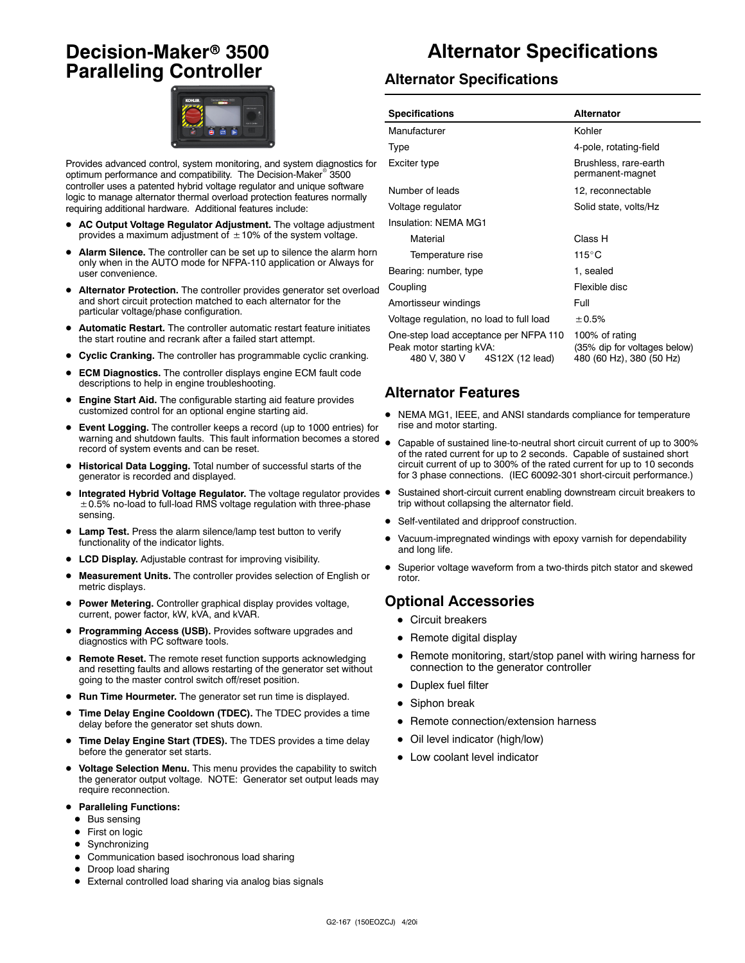## **Decision-Maker<sup>®</sup> 3500 Paralleling Controller**



Provides advanced control, system monitoring, and system diagnostics for optimum performance and compatibility. The Decision-Maker<sup>®</sup> 3500 controller uses a patented hybrid voltage regulator and unique software logic to manage alternator thermal overload protection features normally requiring additional hardware. Additional features include:

- AC Output Voltage Regulator Adjustment. The voltage adjustment provides a maximum adjustment of  $\pm$  10% of the system voltage.
- Alarm Silence. The controller can be set up to silence the alarm horn only when in the AUTO mode for NFPA-110 application or Always for user convenience.
- $\bullet$  Alternator Protection. The controller provides generator set overload and short circuit protection matched to each alternator for the particular voltage/phase configuration.
- Automatic Restart. The controller automatic restart feature initiates the start routine and recrank after a failed start attempt.
- **Cyclic Cranking.** The controller has programmable cyclic cranking.
- **ECM Diagnostics.** The controller displays engine ECM fault code descriptions to help in engine troubleshooting.
- Engine Start Aid. The configurable starting aid feature provides customized control for an optional engine starting aid.
- **Event Logging.** The controller keeps a record (up to 1000 entries) for warning and shutdown faults. This fault information becomes a stored record of system events and can be reset.
- $\bullet$  Historical Data Logging. Total number of successful starts of the generator is recorded and displayed.
- Integrated Hybrid Voltage Regulator. The voltage regulator provides .  $\pm$  0.5% no-load to full-load RMS voltage regulation with three-phase sensing.
- Lamp Test. Press the alarm silence/lamp test button to verify functionality of the indicator lights.
- LCD Display. Adjustable contrast for improving visibility.
- **Measurement Units.** The controller provides selection of English or metric displays.
- **Power Metering.** Controller graphical display provides voltage, current, power factor, kW, kVA, and kVAR.
- Programming Access (USB). Provides software upgrades and diagnostics with PC software tools.
- **Remote Reset.** The remote reset function supports acknowledging and resetting faults and allows restarting of the generator set without going to the master control switch off/reset position.
- **Run Time Hourmeter.** The generator set run time is displayed.
- **Time Delay Engine Cooldown (TDEC).** The TDEC provides a time delay before the generator set shuts down.
- Time Delay Engine Start (TDES). The TDES provides a time delay before the generator set starts.
- $\bullet$  Voltage Selection Menu. This menu provides the capability to switch the generator output voltage. NOTE: Generator set output leads may require reconnection.
- **Paralleling Functions:** 
	- $\bullet$  Bus sensing
	- First on logic
	- $\bullet$  Synchronizing
	- Communication based isochronous load sharing
	- Droop load sharing
	- External controlled load sharing via analog bias signals

## **Alternator Specifications**

#### **Alternator Specifications**

| <b>Specifications</b>                                                                                | <b>Alternator</b>                                                          |  |
|------------------------------------------------------------------------------------------------------|----------------------------------------------------------------------------|--|
| Manufacturer                                                                                         | Kohler                                                                     |  |
| Type                                                                                                 | 4-pole, rotating-field                                                     |  |
| Exciter type                                                                                         | Brushless, rare-earth<br>permanent-magnet                                  |  |
| Number of leads                                                                                      | 12, reconnectable                                                          |  |
| Voltage regulator                                                                                    | Solid state, volts/Hz                                                      |  |
| Insulation: NFMA MG1                                                                                 |                                                                            |  |
| Material                                                                                             | Class H                                                                    |  |
| Temperature rise                                                                                     | $115^{\circ}$ C                                                            |  |
| Bearing: number, type                                                                                | 1, sealed                                                                  |  |
| Coupling                                                                                             | Flexible disc                                                              |  |
| Amortisseur windings                                                                                 | Full                                                                       |  |
| Voltage regulation, no load to full load                                                             | ± 0.5%                                                                     |  |
| One-step load acceptance per NFPA 110<br>Peak motor starting kVA:<br>480 V, 380 V<br>4S12X (12 lead) | 100% of rating<br>(35% dip for voltages below)<br>480 (60 Hz), 380 (50 Hz) |  |

#### **Alternator Features**

- NEMA MG1, IEEE, and ANSI standards compliance for temperature rise and motor starting.
- Capable of sustained line-to-neutral short circuit current of up to 300% of the rated current for up to 2 seconds. Capable of sustained short circuit current of up to 300% of the rated current for up to 10 seconds for 3 phase connections. (IEC 60092-301 short-circuit performance.)
- Sustained short-circuit current enabling downstream circuit breakers to trip without collapsing the alternator field.
- Self-ventilated and dripproof construction.
- Vacuum-impregnated windings with epoxy varnish for dependability and long life.
- Superior voltage waveform from a two-thirds pitch stator and skewed rotor.

#### **Optional Accessories**

- Circuit breakers
- $\bullet$  Remote digital display
- Remote monitoring, start/stop panel with wiring harness for connection to the generator controller
- $\bullet$  Duplex fuel filter
- $\bullet$  Siphon break
- Remote connection/extension harness
- Oil level indicator (high/low)
- Low coolant level indicator